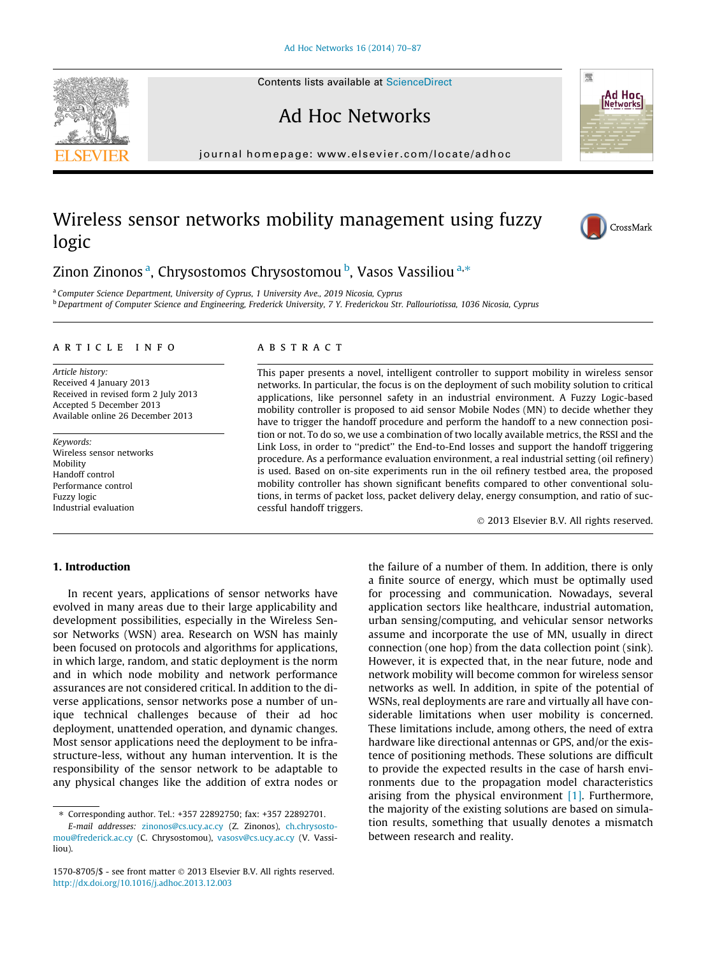Contents lists available at [ScienceDirect](http://www.sciencedirect.com/science/journal/15708705)

# Ad Hoc Networks

journal homepage: [www.elsevier.com/locate/adhoc](http://www.elsevier.com/locate/adhoc)

## Wireless sensor networks mobility management using fuzzy logic



**Ad Hoc**<br>INetworksl

嚮

### Zinon Zinonos <sup>a</sup>, Chrysostomos Chrysostomou <sup>b</sup>, Vasos Vassiliou <sup>a,</sup>\*

<sup>a</sup> Computer Science Department, University of Cyprus, 1 University Ave., 2019 Nicosia, Cyprus <sup>b</sup> Department of Computer Science and Engineering, Frederick University, 7 Y. Frederickou Str. Pallouriotissa, 1036 Nicosia, Cyprus

#### article info

Article history: Received 4 January 2013 Received in revised form 2 July 2013 Accepted 5 December 2013 Available online 26 December 2013

Keywords: Wireless sensor networks Mobility Handoff control Performance control Fuzzy logic Industrial evaluation

#### ABSTRACT

This paper presents a novel, intelligent controller to support mobility in wireless sensor networks. In particular, the focus is on the deployment of such mobility solution to critical applications, like personnel safety in an industrial environment. A Fuzzy Logic-based mobility controller is proposed to aid sensor Mobile Nodes (MN) to decide whether they have to trigger the handoff procedure and perform the handoff to a new connection position or not. To do so, we use a combination of two locally available metrics, the RSSI and the Link Loss, in order to ''predict'' the End-to-End losses and support the handoff triggering procedure. As a performance evaluation environment, a real industrial setting (oil refinery) is used. Based on on-site experiments run in the oil refinery testbed area, the proposed mobility controller has shown significant benefits compared to other conventional solutions, in terms of packet loss, packet delivery delay, energy consumption, and ratio of successful handoff triggers.

- 2013 Elsevier B.V. All rights reserved.

#### 1. Introduction

In recent years, applications of sensor networks have evolved in many areas due to their large applicability and development possibilities, especially in the Wireless Sensor Networks (WSN) area. Research on WSN has mainly been focused on protocols and algorithms for applications, in which large, random, and static deployment is the norm and in which node mobility and network performance assurances are not considered critical. In addition to the diverse applications, sensor networks pose a number of unique technical challenges because of their ad hoc deployment, unattended operation, and dynamic changes. Most sensor applications need the deployment to be infrastructure-less, without any human intervention. It is the responsibility of the sensor network to be adaptable to any physical changes like the addition of extra nodes or

E-mail addresses: [zinonos@cs.ucy.ac.cy](mailto:zinonos@cs.ucy.ac.cy) (Z. Zinonos), [ch.chrysosto](mailto:ch.chrysostomou@frederick.ac.cy)[mou@frederick.ac.cy](mailto:ch.chrysostomou@frederick.ac.cy) (C. Chrysostomou), [vasosv@cs.ucy.ac.cy](mailto:vasosv@cs.ucy.ac.cy) (V. Vassiliou).

the failure of a number of them. In addition, there is only a finite source of energy, which must be optimally used for processing and communication. Nowadays, several application sectors like healthcare, industrial automation, urban sensing/computing, and vehicular sensor networks assume and incorporate the use of MN, usually in direct connection (one hop) from the data collection point (sink). However, it is expected that, in the near future, node and network mobility will become common for wireless sensor networks as well. In addition, in spite of the potential of WSNs, real deployments are rare and virtually all have considerable limitations when user mobility is concerned. These limitations include, among others, the need of extra hardware like directional antennas or GPS, and/or the existence of positioning methods. These solutions are difficult to provide the expected results in the case of harsh environments due to the propagation model characteristics arising from the physical environment  $[1]$ . Furthermore, the majority of the existing solutions are based on simulation results, something that usually denotes a mismatch between research and reality.



Corresponding author. Tel.: +357 22892750; fax: +357 22892701.

 $1570-8705/\$  - see front matter  $\odot$  2013 Elsevier B.V. All rights reserved. <http://dx.doi.org/10.1016/j.adhoc.2013.12.003>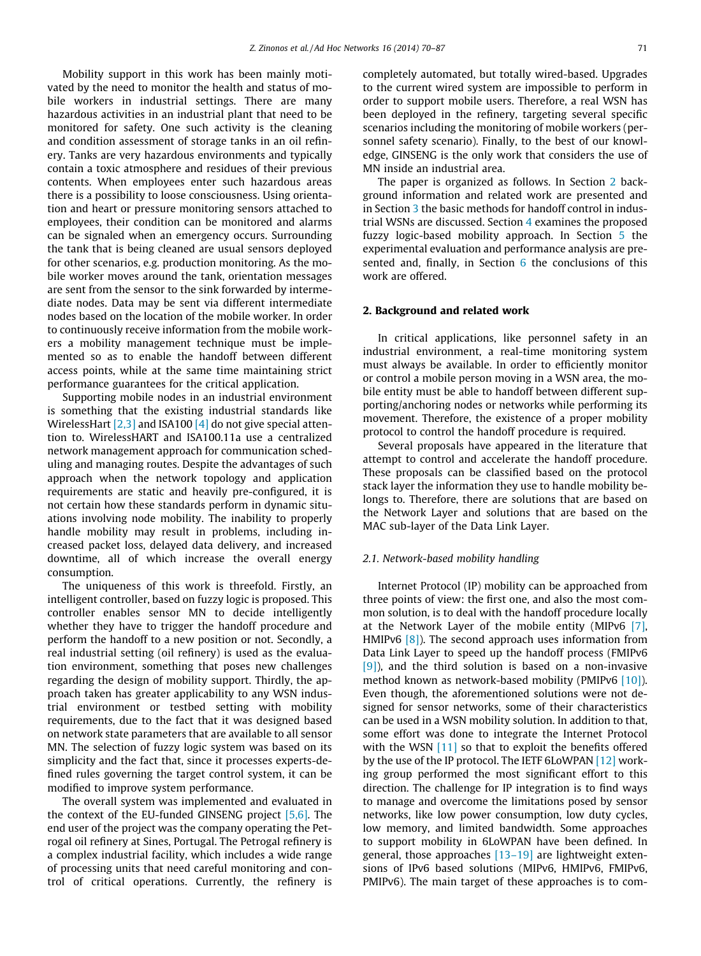Mobility support in this work has been mainly motivated by the need to monitor the health and status of mobile workers in industrial settings. There are many hazardous activities in an industrial plant that need to be monitored for safety. One such activity is the cleaning and condition assessment of storage tanks in an oil refinery. Tanks are very hazardous environments and typically contain a toxic atmosphere and residues of their previous contents. When employees enter such hazardous areas there is a possibility to loose consciousness. Using orientation and heart or pressure monitoring sensors attached to employees, their condition can be monitored and alarms can be signaled when an emergency occurs. Surrounding the tank that is being cleaned are usual sensors deployed for other scenarios, e.g. production monitoring. As the mobile worker moves around the tank, orientation messages are sent from the sensor to the sink forwarded by intermediate nodes. Data may be sent via different intermediate nodes based on the location of the mobile worker. In order to continuously receive information from the mobile workers a mobility management technique must be implemented so as to enable the handoff between different access points, while at the same time maintaining strict performance guarantees for the critical application.

Supporting mobile nodes in an industrial environment is something that the existing industrial standards like WirelessHart [\[2,3\]](#page--1-0) and ISA100 [\[4\]](#page--1-0) do not give special attention to. WirelessHART and ISA100.11a use a centralized network management approach for communication scheduling and managing routes. Despite the advantages of such approach when the network topology and application requirements are static and heavily pre-configured, it is not certain how these standards perform in dynamic situations involving node mobility. The inability to properly handle mobility may result in problems, including increased packet loss, delayed data delivery, and increased downtime, all of which increase the overall energy consumption.

The uniqueness of this work is threefold. Firstly, an intelligent controller, based on fuzzy logic is proposed. This controller enables sensor MN to decide intelligently whether they have to trigger the handoff procedure and perform the handoff to a new position or not. Secondly, a real industrial setting (oil refinery) is used as the evaluation environment, something that poses new challenges regarding the design of mobility support. Thirdly, the approach taken has greater applicability to any WSN industrial environment or testbed setting with mobility requirements, due to the fact that it was designed based on network state parameters that are available to all sensor MN. The selection of fuzzy logic system was based on its simplicity and the fact that, since it processes experts-defined rules governing the target control system, it can be modified to improve system performance.

The overall system was implemented and evaluated in the context of the EU-funded GINSENG project  $[5,6]$ . The end user of the project was the company operating the Petrogal oil refinery at Sines, Portugal. The Petrogal refinery is a complex industrial facility, which includes a wide range of processing units that need careful monitoring and control of critical operations. Currently, the refinery is completely automated, but totally wired-based. Upgrades to the current wired system are impossible to perform in order to support mobile users. Therefore, a real WSN has been deployed in the refinery, targeting several specific scenarios including the monitoring of mobile workers (personnel safety scenario). Finally, to the best of our knowledge, GINSENG is the only work that considers the use of MN inside an industrial area.

The paper is organized as follows. In Section 2 background information and related work are presented and in Section [3](#page--1-0) the basic methods for handoff control in industrial WSNs are discussed. Section [4](#page--1-0) examines the proposed fuzzy logic-based mobility approach. In Section [5](#page--1-0) the experimental evaluation and performance analysis are pre-sented and, finally, in Section [6](#page--1-0) the conclusions of this work are offered.

#### 2. Background and related work

In critical applications, like personnel safety in an industrial environment, a real-time monitoring system must always be available. In order to efficiently monitor or control a mobile person moving in a WSN area, the mobile entity must be able to handoff between different supporting/anchoring nodes or networks while performing its movement. Therefore, the existence of a proper mobility protocol to control the handoff procedure is required.

Several proposals have appeared in the literature that attempt to control and accelerate the handoff procedure. These proposals can be classified based on the protocol stack layer the information they use to handle mobility belongs to. Therefore, there are solutions that are based on the Network Layer and solutions that are based on the MAC sub-layer of the Data Link Layer.

#### 2.1. Network-based mobility handling

Internet Protocol (IP) mobility can be approached from three points of view: the first one, and also the most common solution, is to deal with the handoff procedure locally at the Network Layer of the mobile entity (MIPv6 [\[7\]](#page--1-0), HMIPv6 [\[8\]\)](#page--1-0). The second approach uses information from Data Link Layer to speed up the handoff process (FMIPv6 [\[9\]\)](#page--1-0), and the third solution is based on a non-invasive method known as network-based mobility (PMIPv6 [\[10\]](#page--1-0)). Even though, the aforementioned solutions were not designed for sensor networks, some of their characteristics can be used in a WSN mobility solution. In addition to that, some effort was done to integrate the Internet Protocol with the WSN [\[11\]](#page--1-0) so that to exploit the benefits offered by the use of the IP protocol. The IETF 6LoWPAN [\[12\]](#page--1-0) working group performed the most significant effort to this direction. The challenge for IP integration is to find ways to manage and overcome the limitations posed by sensor networks, like low power consumption, low duty cycles, low memory, and limited bandwidth. Some approaches to support mobility in 6LoWPAN have been defined. In general, those approaches [\[13–19\]](#page--1-0) are lightweight extensions of IPv6 based solutions (MIPv6, HMIPv6, FMIPv6, PMIPv6). The main target of these approaches is to com-